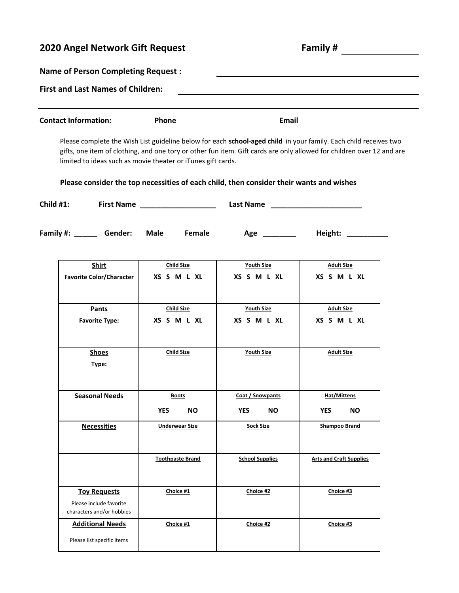## **2020 Angel Network Gift Request Family # Name of Person Completing Request : First and Last Names of Children: Contact Information: Phone Email Please consider the top necessities of each child, then consider their wants and wishes Child #1: First Name \_\_\_\_\_\_\_\_\_\_\_\_\_\_\_\_\_\_\_\_\_\_\_\_\_\_\_\_ Last Name \_\_\_\_\_\_\_\_\_\_\_\_\_\_\_\_\_\_\_\_\_\_** Family #: \_\_\_\_\_\_\_ Gender: Male Female Age \_\_\_\_\_\_\_\_ Height: \_\_\_\_\_\_\_\_\_\_ Please complete the Wish List guideline below for each **school-aged child** in your family. Each child receives two gifts, one item of clothing, and one tory or other fun item. Gift cards are only allowed for children over 12 and are limited to ideas such as movie theater or iTunes gift cards. **Shirt Child Size Youth Size Adult Size Pants Child Size Pants Adult Size Favorite Type: XS S M L XL XS S M L XL XS S M L XL Favorite Color/Character XS S M L XL XS S M L XL XS S M L XL Shoes Child Size Child Size Youth Size Adult Size Type: Seasonal Needs Boots Coat / Snowpants Hat/Mittens Necessities a Underwear Size Sock Size Shampoo Brand YES NO YES NO YES NO**

**Toothpaste Brand School Supplies Arts and Craft Supplies** 

**Toy Requests Choice #1 Choice #2 Choice #3**

**Additional Needs Choice #1 Choice #2 Choice #3**

Please list specific items

Please include favorite characters and/or hobbies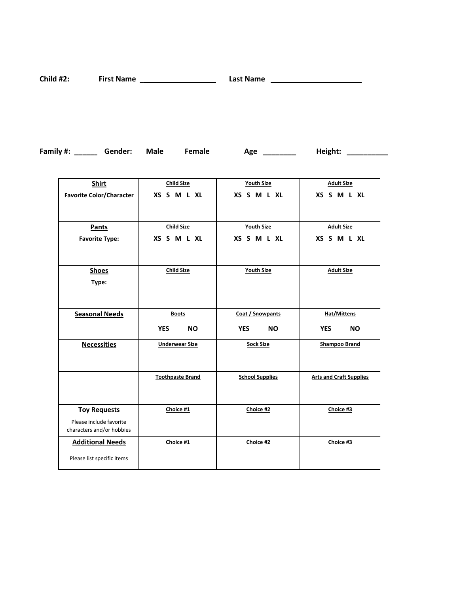**Child #2: First Name \_\_\_\_\_\_\_\_\_\_\_\_\_\_\_\_\_\_\_\_\_\_\_\_\_\_\_\_ Last Name \_\_\_\_\_\_\_\_\_\_\_\_\_\_\_\_\_\_\_\_\_\_**

**Family #:** \_\_\_\_\_\_\_ Gender: Male Female Age \_\_\_\_\_\_\_\_\_ Height: \_\_\_\_\_\_\_\_\_\_\_

| <b>Shirt</b>                    | <b>Child Size</b>       | <b>Youth Size</b>       | <b>Adult Size</b>              |
|---------------------------------|-------------------------|-------------------------|--------------------------------|
| <b>Favorite Color/Character</b> | XS S M L XL             | XS S M L XL             | XS S M L XL                    |
|                                 |                         |                         |                                |
| Pants                           | <b>Child Size</b>       | <b>Youth Size</b>       | <b>Adult Size</b>              |
| <b>Favorite Type:</b>           | XS S M L XL             | XS S M L XL             | XS S M L XL                    |
|                                 |                         |                         |                                |
| <b>Shoes</b>                    | <b>Child Size</b>       | <b>Youth Size</b>       | <b>Adult Size</b>              |
| Type:                           |                         |                         |                                |
|                                 |                         |                         |                                |
| <b>Seasonal Needs</b>           | <b>Boots</b>            | Coat / Snowpants        | <b>Hat/Mittens</b>             |
|                                 | <b>YES</b><br><b>NO</b> | <b>YES</b><br><b>NO</b> | <b>YES</b><br><b>NO</b>        |
| <b>Necessities</b>              | <b>Underwear Size</b>   | <b>Sock Size</b>        | <b>Shampoo Brand</b>           |
|                                 |                         |                         |                                |
|                                 | <b>Toothpaste Brand</b> | <b>School Supplies</b>  | <b>Arts and Craft Supplies</b> |
|                                 |                         |                         |                                |
| <b>Toy Requests</b>             | Choice #1               | Choice #2               | Choice #3                      |
| Please include favorite         |                         |                         |                                |
| characters and/or hobbies       |                         |                         |                                |
| <b>Additional Needs</b>         | Choice #1               | Choice #2               | Choice #3                      |
| Please list specific items      |                         |                         |                                |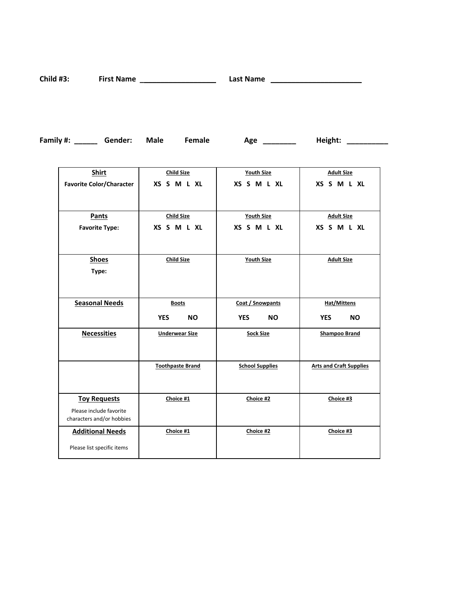**Child #3: First Name \_\_\_\_\_\_\_\_\_\_\_\_\_\_\_\_\_\_\_\_\_\_\_\_\_\_\_\_ Last Name \_\_\_\_\_\_\_\_\_\_\_\_\_\_\_\_\_\_\_\_\_\_**

| Family #: | Gender: | Male | Female | Age | Height: |
|-----------|---------|------|--------|-----|---------|
|-----------|---------|------|--------|-----|---------|

| <b>Shirt</b>                                         | <b>Child Size</b>       | <b>Youth Size</b>       | <b>Adult Size</b>              |
|------------------------------------------------------|-------------------------|-------------------------|--------------------------------|
| <b>Favorite Color/Character</b>                      | XS S M L XL             | XS S M L XL             | XS S M L XL                    |
|                                                      |                         |                         |                                |
| <b>Pants</b>                                         | <b>Child Size</b>       | <b>Youth Size</b>       | <b>Adult Size</b>              |
| <b>Favorite Type:</b>                                | XS S M L XL             | XS S M L XL             | XS S M L XL                    |
|                                                      |                         |                         |                                |
| <b>Shoes</b>                                         | <b>Child Size</b>       | <b>Youth Size</b>       | <b>Adult Size</b>              |
| Type:                                                |                         |                         |                                |
|                                                      |                         |                         |                                |
| <b>Seasonal Needs</b>                                | <b>Boots</b>            | Coat / Snowpants        | Hat/Mittens                    |
|                                                      | <b>YES</b><br><b>NO</b> | <b>YES</b><br><b>NO</b> | <b>YES</b><br><b>NO</b>        |
| <b>Necessities</b>                                   | <b>Underwear Size</b>   | <b>Sock Size</b>        | <b>Shampoo Brand</b>           |
|                                                      |                         |                         |                                |
|                                                      | <b>Toothpaste Brand</b> | <b>School Supplies</b>  | <b>Arts and Craft Supplies</b> |
|                                                      |                         |                         |                                |
| <b>Toy Requests</b>                                  | Choice #1               | Choice #2               | Choice #3                      |
| Please include favorite<br>characters and/or hobbies |                         |                         |                                |
| <b>Additional Needs</b>                              | Choice #1               | Choice #2               | Choice #3                      |
| Please list specific items                           |                         |                         |                                |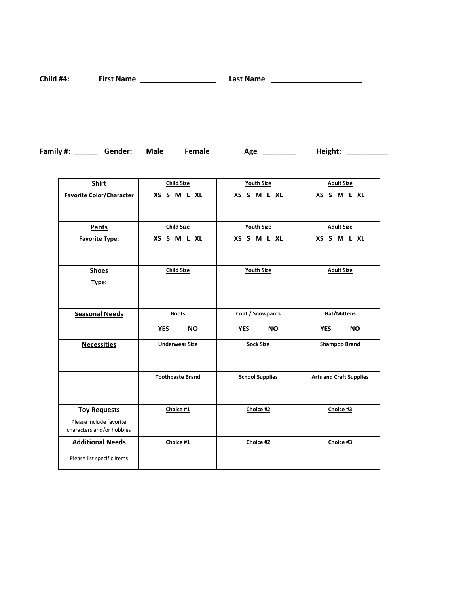**Child #4: First Name \_\_\_\_\_\_\_\_\_\_\_\_\_\_\_\_\_\_\_\_\_\_\_\_\_\_\_\_ Last Name \_\_\_\_\_\_\_\_\_\_\_\_\_\_\_\_\_\_\_\_\_\_**

**Family #:** \_\_\_\_\_\_\_ Gender: Male Female Age \_\_\_\_\_\_\_\_\_ Height: \_\_\_\_\_\_\_\_\_\_\_

| Shirt                           | <b>Child Size</b>       | <b>Youth Size</b>       | <b>Adult Size</b>              |
|---------------------------------|-------------------------|-------------------------|--------------------------------|
| <b>Favorite Color/Character</b> | XS S M L XL             | XS S M L XL             | XS S M L XL                    |
|                                 |                         |                         |                                |
| Pants                           | <b>Child Size</b>       | <b>Youth Size</b>       | <b>Adult Size</b>              |
| <b>Favorite Type:</b>           | XS S M L XL             | XS S M L XL             | XS S M L XL                    |
|                                 |                         |                         |                                |
| <b>Shoes</b>                    | <b>Child Size</b>       | <b>Youth Size</b>       | <b>Adult Size</b>              |
| Type:                           |                         |                         |                                |
|                                 |                         |                         |                                |
| <b>Seasonal Needs</b>           | <b>Boots</b>            | Coat / Snowpants        | <b>Hat/Mittens</b>             |
|                                 | <b>YES</b><br><b>NO</b> | <b>YES</b><br><b>NO</b> | <b>YES</b><br><b>NO</b>        |
| <b>Necessities</b>              | <b>Underwear Size</b>   | <b>Sock Size</b>        | <b>Shampoo Brand</b>           |
|                                 |                         |                         |                                |
|                                 | <b>Toothpaste Brand</b> | <b>School Supplies</b>  | <b>Arts and Craft Supplies</b> |
|                                 |                         |                         |                                |
| <b>Toy Requests</b>             | Choice #1               | Choice #2               | Choice #3                      |
| Please include favorite         |                         |                         |                                |
| characters and/or hobbies       |                         |                         |                                |
| <b>Additional Needs</b>         | Choice #1               | Choice #2               | Choice #3                      |
| Please list specific items      |                         |                         |                                |